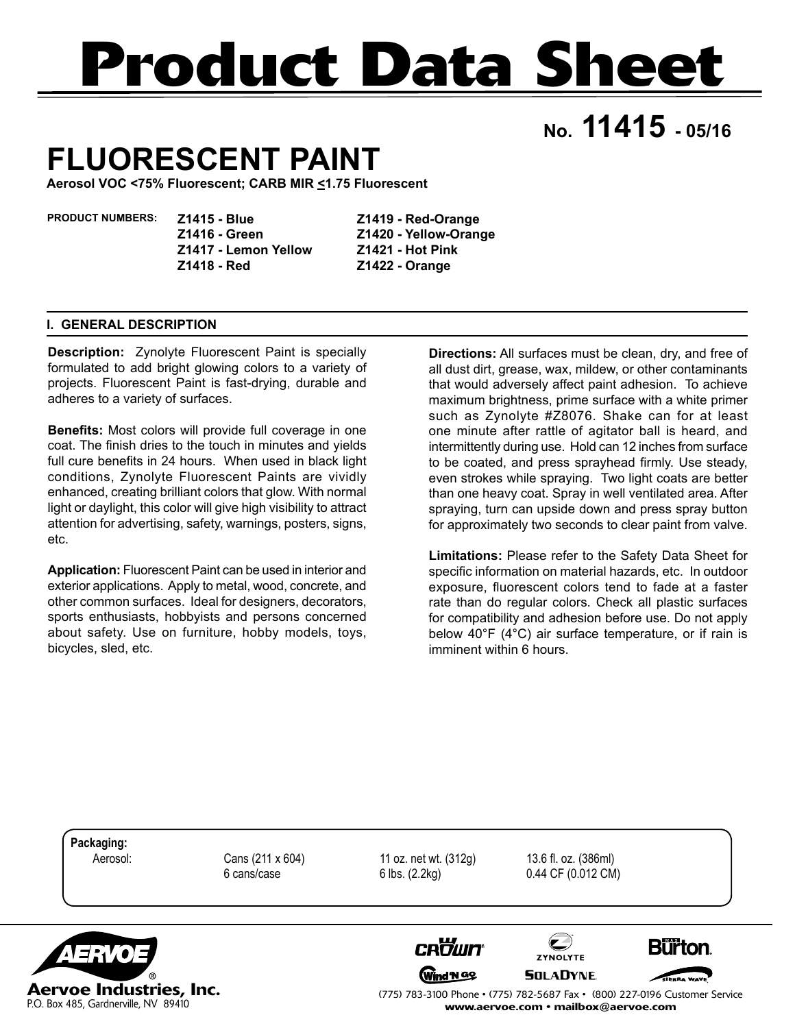# **Product Data Sheet**

**No. 11415 - 05/16**

## **FLUORESCENT PAINT**

**Aerosol VOC <75% Fluorescent; CARB MIR <1.75 Fluorescent**

**PRODUCT NUMBERS:** 

**Z1415 - Blue Z1416 - Green Z1417 - Lemon Yellow Z1418 - Red**

**Z1419 - Red-Orange Z1420 - Yellow-Orange Z1421 - Hot Pink Z1422 - Orange**

#### **I. GENERAL DESCRIPTION**

P.O. Box 485, Gardnerville, NV 89410

**Description:** Zynolyte Fluorescent Paint is specially formulated to add bright glowing colors to a variety of projects. Fluorescent Paint is fast-drying, durable and adheres to a variety of surfaces.

**Benefits:** Most colors will provide full coverage in one coat. The finish dries to the touch in minutes and yields full cure benefits in 24 hours. When used in black light conditions, Zynolyte Fluorescent Paints are vividly enhanced, creating brilliant colors that glow. With normal light or daylight, this color will give high visibility to attract attention for advertising, safety, warnings, posters, signs, etc.

**Application:** Fluorescent Paint can be used in interior and exterior applications. Apply to metal, wood, concrete, and other common surfaces. Ideal for designers, decorators, sports enthusiasts, hobbyists and persons concerned about safety. Use on furniture, hobby models, toys, bicycles, sled, etc.

**Directions:** All surfaces must be clean, dry, and free of all dust dirt, grease, wax, mildew, or other contaminants that would adversely affect paint adhesion. To achieve maximum brightness, prime surface with a white primer such as Zynolyte #Z8076. Shake can for at least one minute after rattle of agitator ball is heard, and intermittently during use. Hold can 12 inches from surface to be coated, and press sprayhead firmly. Use steady, even strokes while spraying. Two light coats are better than one heavy coat. Spray in well ventilated area. After spraying, turn can upside down and press spray button for approximately two seconds to clear paint from valve.

**Limitations:** Please refer to the Safety Data Sheet for specific information on material hazards, etc. In outdoor exposure, fluorescent colors tend to fade at a faster rate than do regular colors. Check all plastic surfaces for compatibility and adhesion before use. Do not apply below 40°F (4°C) air surface temperature, or if rain is imminent within 6 hours.



(775) 783-3100 Phone • (775) 782-5687 Fax • (800) 227-0196 Customer Service www.aervoe.com • mailbox@aervoe.com